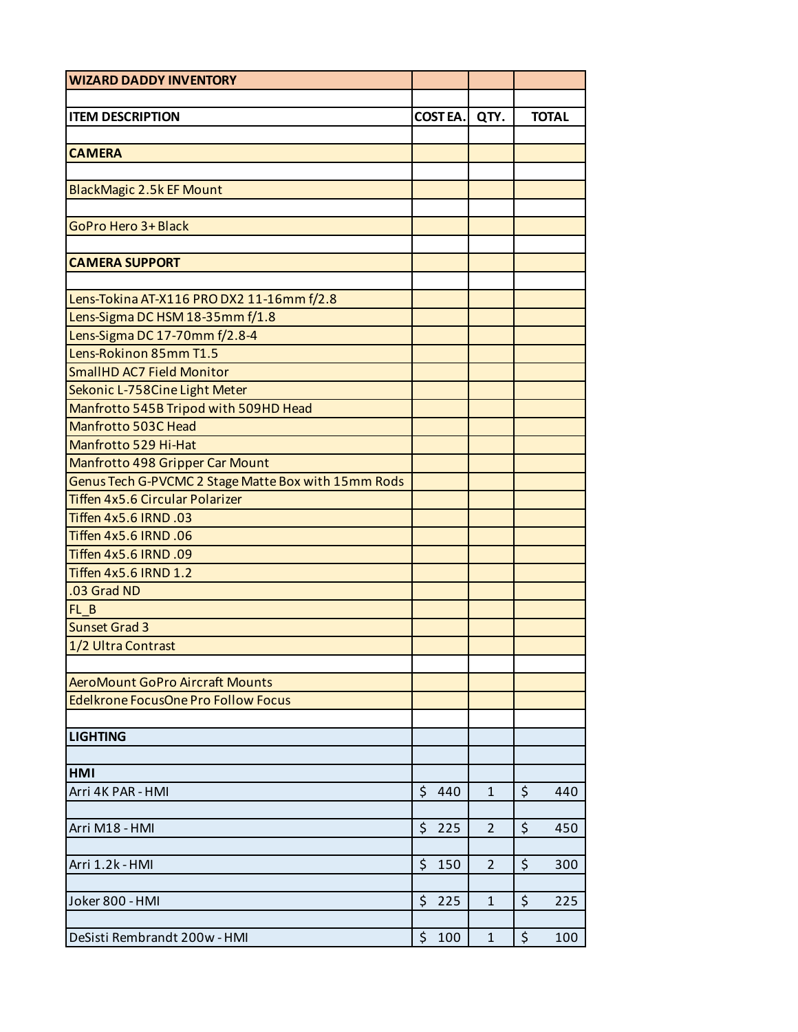| <b>ITEM DESCRIPTION</b><br><b>COSTEA.</b><br>QTY.<br><b>CAMERA</b>   | <b>TOTAL</b> |
|----------------------------------------------------------------------|--------------|
|                                                                      |              |
|                                                                      |              |
|                                                                      |              |
|                                                                      |              |
|                                                                      |              |
| <b>BlackMagic 2.5k EF Mount</b>                                      |              |
|                                                                      |              |
| <b>GoPro Hero 3+ Black</b>                                           |              |
|                                                                      |              |
| <b>CAMERA SUPPORT</b>                                                |              |
|                                                                      |              |
| Lens-Tokina AT-X116 PRO DX2 11-16mm f/2.8                            |              |
| Lens-Sigma DC HSM 18-35mm f/1.8                                      |              |
| Lens-Sigma DC 17-70mm f/2.8-4                                        |              |
| Lens-Rokinon 85mm T1.5                                               |              |
| <b>SmallHD AC7 Field Monitor</b>                                     |              |
| Sekonic L-758Cine Light Meter                                        |              |
| Manfrotto 545B Tripod with 509HD Head                                |              |
| Manfrotto 503C Head                                                  |              |
| Manfrotto 529 Hi-Hat                                                 |              |
| Manfrotto 498 Gripper Car Mount                                      |              |
| Genus Tech G-PVCMC 2 Stage Matte Box with 15mm Rods                  |              |
| <b>Tiffen 4x5.6 Circular Polarizer</b>                               |              |
| Tiffen 4x5.6 IRND .03                                                |              |
| Tiffen 4x5.6 IRND .06                                                |              |
| Tiffen 4x5.6 IRND .09                                                |              |
| Tiffen 4x5.6 IRND 1.2                                                |              |
| .03 Grad ND                                                          |              |
| FL B                                                                 |              |
| <b>Sunset Grad 3</b>                                                 |              |
| 1/2 Ultra Contrast                                                   |              |
|                                                                      |              |
| <b>AeroMount GoPro Aircraft Mounts</b>                               |              |
| <b>Edelkrone FocusOne Pro Follow Focus</b>                           |              |
|                                                                      |              |
| <b>LIGHTING</b>                                                      |              |
|                                                                      |              |
| <b>HMI</b>                                                           |              |
| \$<br>\$<br>$\mathbf{1}$<br>Arri 4K PAR - HMI<br>440                 | 440          |
|                                                                      |              |
| $\zeta$<br>$\zeta$<br>225<br>$\overline{2}$<br>Arri M18 - HMI        | 450          |
|                                                                      |              |
| \$<br>Arri 1.2k - HMI<br>$\mathsf{\hat{S}}$<br>150<br>$\overline{2}$ | 300          |
|                                                                      |              |
| \$<br>\$<br>Joker 800 - HMI<br>225<br>$\mathbf 1$                    | 225          |
|                                                                      |              |
| $\zeta$<br>\$<br>DeSisti Rembrandt 200w - HMI<br>100<br>$\mathbf{1}$ | 100          |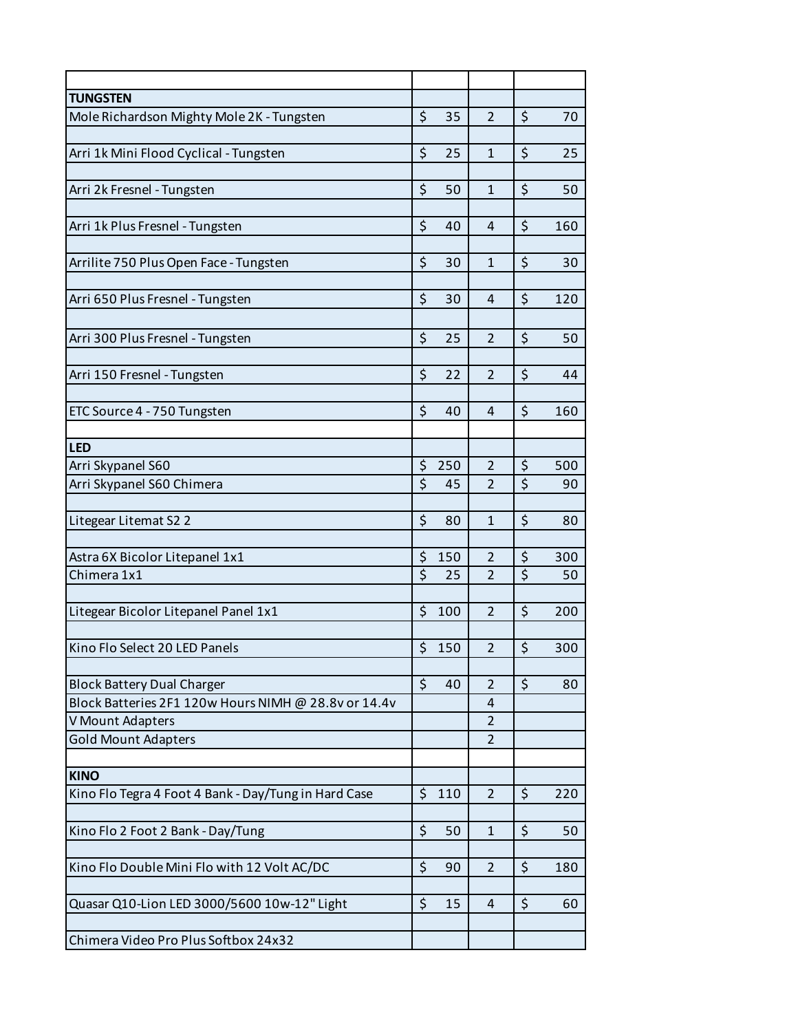| <b>TUNGSTEN</b>                                      |                               |     |                |                  |     |
|------------------------------------------------------|-------------------------------|-----|----------------|------------------|-----|
| Mole Richardson Mighty Mole 2K - Tungsten            | \$                            | 35  | $\overline{2}$ | \$               | 70  |
|                                                      |                               |     |                |                  |     |
| Arri 1k Mini Flood Cyclical - Tungsten               | \$                            | 25  | $\mathbf{1}$   | \$               | 25  |
| Arri 2k Fresnel - Tungsten                           | \$                            | 50  | $\mathbf{1}$   | \$               | 50  |
| Arri 1k Plus Fresnel - Tungsten                      | \$                            | 40  | $\overline{4}$ | \$               | 160 |
| Arrilite 750 Plus Open Face - Tungsten               | \$                            | 30  | $\mathbf{1}$   | \$               | 30  |
|                                                      |                               |     |                |                  |     |
| Arri 650 Plus Fresnel - Tungsten                     | \$                            | 30  | 4              | \$               | 120 |
| Arri 300 Plus Fresnel - Tungsten                     | \$                            | 25  | $\overline{2}$ | \$               | 50  |
|                                                      |                               |     |                |                  |     |
| Arri 150 Fresnel - Tungsten                          | \$                            | 22  | $\overline{2}$ | \$               | 44  |
| ETC Source 4 - 750 Tungsten                          | \$                            | 40  | 4              | $\zeta$          | 160 |
| <b>LED</b>                                           |                               |     |                |                  |     |
|                                                      |                               |     | $\overline{2}$ | \$               |     |
| Arri Skypanel S60                                    | \$<br>$\overline{\mathsf{S}}$ | 250 | $\overline{2}$ | \$               | 500 |
| Arri Skypanel S60 Chimera                            |                               | 45  |                |                  | 90  |
| Litegear Litemat S2 2                                | \$                            | 80  | $\mathbf{1}$   | \$               | 80  |
| Astra 6X Bicolor Litepanel 1x1                       | \$                            | 150 | $\overline{2}$ | \$               | 300 |
| Chimera 1x1                                          | $\dot{\mathsf{S}}$            | 25  | $\overline{2}$ | $\overline{\xi}$ | 50  |
|                                                      |                               |     |                |                  |     |
| Litegear Bicolor Litepanel Panel 1x1                 | \$                            | 100 | $\overline{2}$ | \$               | 200 |
|                                                      |                               |     |                |                  |     |
| Kino Flo Select 20 LED Panels                        | \$                            | 150 | $\overline{2}$ | \$               | 300 |
| <b>Block Battery Dual Charger</b>                    | $\zeta$                       | 40  | $\overline{2}$ | $\zeta$          | 80  |
| Block Batteries 2F1 120w Hours NIMH @ 28.8v or 14.4v |                               |     | $\overline{4}$ |                  |     |
| V Mount Adapters                                     |                               |     | $\overline{2}$ |                  |     |
| <b>Gold Mount Adapters</b>                           |                               |     | $\overline{2}$ |                  |     |
| <b>KINO</b>                                          |                               |     |                |                  |     |
| Kino Flo Tegra 4 Foot 4 Bank - Day/Tung in Hard Case | $\zeta$                       | 110 | $\overline{2}$ | $\zeta$          | 220 |
|                                                      |                               |     |                |                  |     |
| Kino Flo 2 Foot 2 Bank - Day/Tung                    | \$                            | 50  | $\mathbf{1}$   | \$               | 50  |
| Kino Flo Double Mini Flo with 12 Volt AC/DC          | \$                            | 90  | $\overline{2}$ | \$               | 180 |
| Quasar Q10-Lion LED 3000/5600 10w-12" Light          | \$                            | 15  | $\overline{4}$ | $\zeta$          | 60  |
|                                                      |                               |     |                |                  |     |
| Chimera Video Pro Plus Softbox 24x32                 |                               |     |                |                  |     |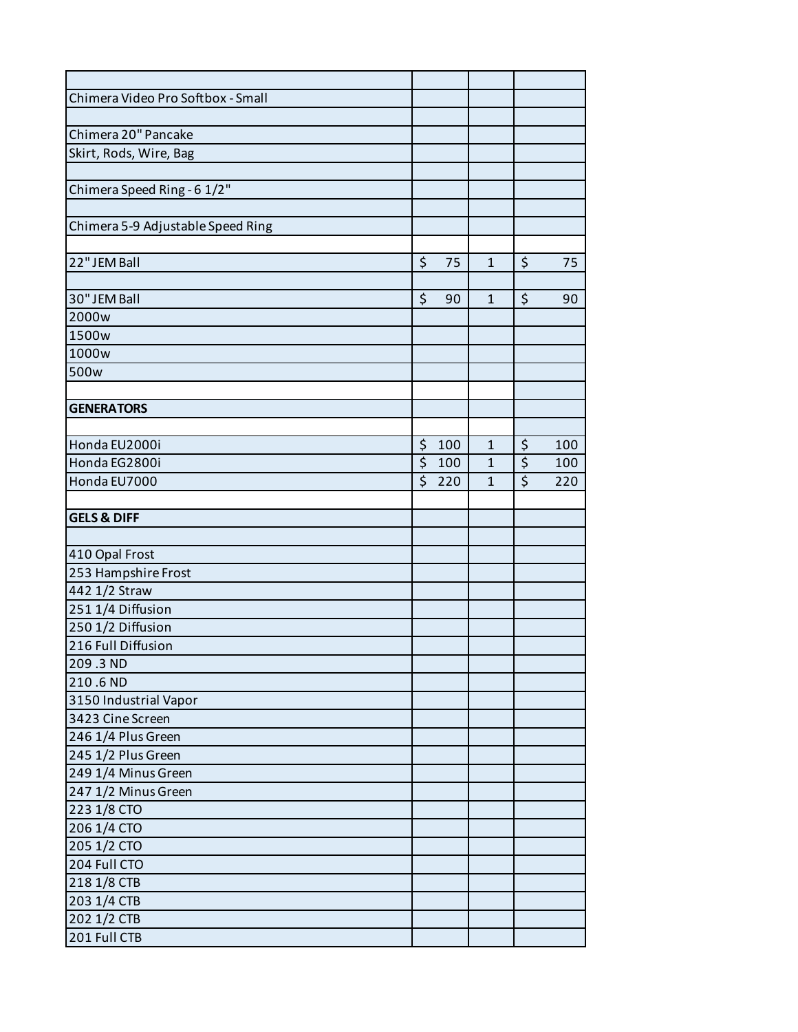| Chimera Video Pro Softbox - Small |           |                |                  |     |
|-----------------------------------|-----------|----------------|------------------|-----|
|                                   |           |                |                  |     |
| Chimera 20" Pancake               |           |                |                  |     |
| Skirt, Rods, Wire, Bag            |           |                |                  |     |
|                                   |           |                |                  |     |
| Chimera Speed Ring - 6 1/2"       |           |                |                  |     |
|                                   |           |                |                  |     |
| Chimera 5-9 Adjustable Speed Ring |           |                |                  |     |
|                                   |           |                |                  |     |
| 22" JEM Ball                      | \$<br>75  | $\mathbf{1}$   | \$               | 75  |
|                                   |           |                |                  |     |
| 30" JEM Ball                      | \$<br>90  | $\mathbf{1}$   | \$               | 90  |
| 2000w                             |           |                |                  |     |
| 1500w                             |           |                |                  |     |
| 1000w                             |           |                |                  |     |
| 500w                              |           |                |                  |     |
|                                   |           |                |                  |     |
| <b>GENERATORS</b>                 |           |                |                  |     |
|                                   |           |                |                  |     |
| Honda EU2000i                     | \$<br>100 | $\mathbf{1}$   | \$               | 100 |
| Honda EG2800i                     | \$<br>100 | $\overline{1}$ | $\overline{\xi}$ | 100 |
| Honda EU7000                      | \$<br>220 | $\mathbf{1}$   | $\overline{\xi}$ | 220 |
|                                   |           |                |                  |     |
| <b>GELS &amp; DIFF</b>            |           |                |                  |     |
|                                   |           |                |                  |     |
| 410 Opal Frost                    |           |                |                  |     |
| 253 Hampshire Frost               |           |                |                  |     |
| 442 1/2 Straw                     |           |                |                  |     |
| 251 1/4 Diffusion                 |           |                |                  |     |
| 250 1/2 Diffusion                 |           |                |                  |     |
| 216 Full Diffusion                |           |                |                  |     |
| 209.3 ND                          |           |                |                  |     |
| 210.6 ND                          |           |                |                  |     |
| 3150 Industrial Vapor             |           |                |                  |     |
| 3423 Cine Screen                  |           |                |                  |     |
| 246 1/4 Plus Green                |           |                |                  |     |
| 245 1/2 Plus Green                |           |                |                  |     |
| 249 1/4 Minus Green               |           |                |                  |     |
| 247 1/2 Minus Green               |           |                |                  |     |
| 223 1/8 CTO                       |           |                |                  |     |
| 206 1/4 CTO                       |           |                |                  |     |
| 205 1/2 CTO                       |           |                |                  |     |
| 204 Full CTO                      |           |                |                  |     |
| 218 1/8 CTB                       |           |                |                  |     |
| 203 1/4 CTB                       |           |                |                  |     |
| 202 1/2 CTB                       |           |                |                  |     |
| 201 Full CTB                      |           |                |                  |     |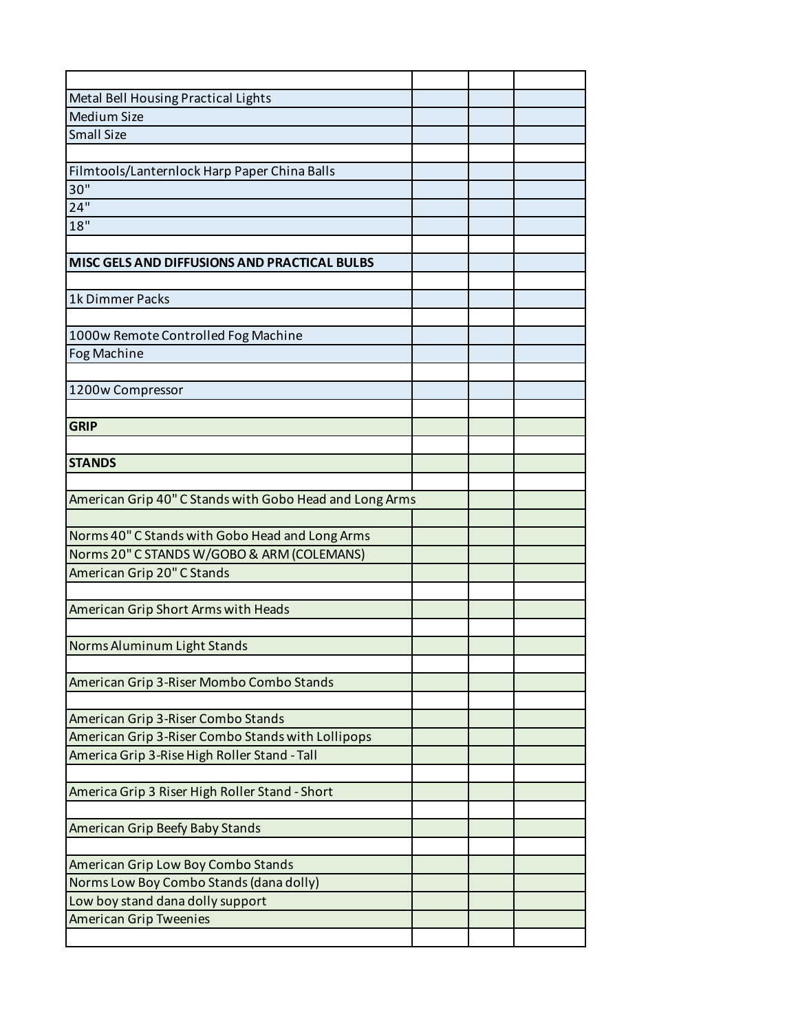| Metal Bell Housing Practical Lights                     |  |  |
|---------------------------------------------------------|--|--|
| Medium Size                                             |  |  |
| <b>Small Size</b>                                       |  |  |
|                                                         |  |  |
| Filmtools/Lanternlock Harp Paper China Balls            |  |  |
| 30"                                                     |  |  |
| 24"                                                     |  |  |
| 18"                                                     |  |  |
|                                                         |  |  |
| MISC GELS AND DIFFUSIONS AND PRACTICAL BULBS            |  |  |
|                                                         |  |  |
| 1k Dimmer Packs                                         |  |  |
|                                                         |  |  |
| 1000w Remote Controlled Fog Machine                     |  |  |
| <b>Fog Machine</b>                                      |  |  |
|                                                         |  |  |
| 1200w Compressor                                        |  |  |
|                                                         |  |  |
| <b>GRIP</b>                                             |  |  |
|                                                         |  |  |
| <b>STANDS</b>                                           |  |  |
|                                                         |  |  |
| American Grip 40" C Stands with Gobo Head and Long Arms |  |  |
|                                                         |  |  |
| Norms 40" C Stands with Gobo Head and Long Arms         |  |  |
| Norms 20" C STANDS W/GOBO & ARM (COLEMANS)              |  |  |
| American Grip 20" C Stands                              |  |  |
|                                                         |  |  |
| American Grip Short Arms with Heads                     |  |  |
|                                                         |  |  |
| Norms Aluminum Light Stands                             |  |  |
|                                                         |  |  |
| American Grip 3-Riser Mombo Combo Stands                |  |  |
|                                                         |  |  |
| American Grip 3-Riser Combo Stands                      |  |  |
| American Grip 3-Riser Combo Stands with Lollipops       |  |  |
| America Grip 3-Rise High Roller Stand - Tall            |  |  |
|                                                         |  |  |
| America Grip 3 Riser High Roller Stand - Short          |  |  |
|                                                         |  |  |
| American Grip Beefy Baby Stands                         |  |  |
|                                                         |  |  |
| American Grip Low Boy Combo Stands                      |  |  |
| Norms Low Boy Combo Stands (dana dolly)                 |  |  |
| Low boy stand dana dolly support                        |  |  |
| <b>American Grip Tweenies</b>                           |  |  |
|                                                         |  |  |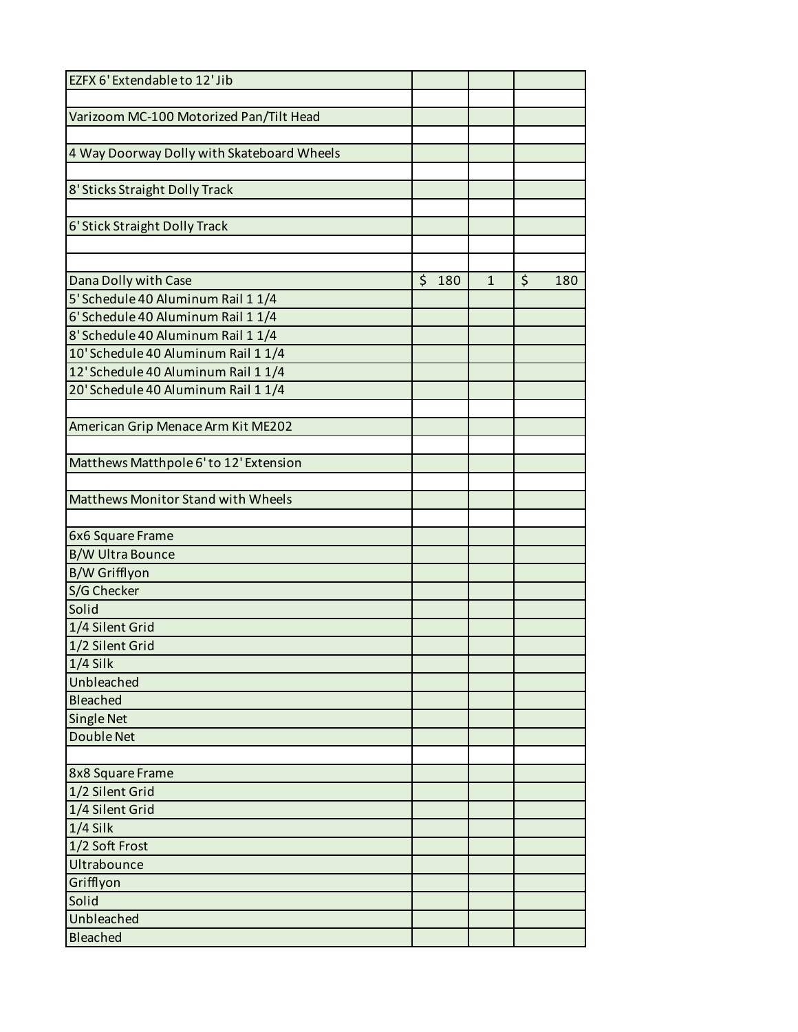| EZFX 6' Extendable to 12' Jib              |           |              |           |
|--------------------------------------------|-----------|--------------|-----------|
|                                            |           |              |           |
| Varizoom MC-100 Motorized Pan/Tilt Head    |           |              |           |
|                                            |           |              |           |
| 4 Way Doorway Dolly with Skateboard Wheels |           |              |           |
|                                            |           |              |           |
| 8' Sticks Straight Dolly Track             |           |              |           |
| 6' Stick Straight Dolly Track              |           |              |           |
|                                            |           |              |           |
|                                            |           |              |           |
| Dana Dolly with Case                       | \$<br>180 | $\mathbf{1}$ | \$<br>180 |
| 5' Schedule 40 Aluminum Rail 1 1/4         |           |              |           |
| 6' Schedule 40 Aluminum Rail 1 1/4         |           |              |           |
| 8' Schedule 40 Aluminum Rail 1 1/4         |           |              |           |
| 10' Schedule 40 Aluminum Rail 1 1/4        |           |              |           |
| 12' Schedule 40 Aluminum Rail 1 1/4        |           |              |           |
| 20' Schedule 40 Aluminum Rail 1 1/4        |           |              |           |
|                                            |           |              |           |
| American Grip Menace Arm Kit ME202         |           |              |           |
|                                            |           |              |           |
| Matthews Matthpole 6' to 12' Extension     |           |              |           |
|                                            |           |              |           |
| Matthews Monitor Stand with Wheels         |           |              |           |
|                                            |           |              |           |
| 6x6 Square Frame                           |           |              |           |
| <b>B/W Ultra Bounce</b>                    |           |              |           |
| B/W Grifflyon                              |           |              |           |
| S/G Checker                                |           |              |           |
| Solid                                      |           |              |           |
| 1/4 Silent Grid                            |           |              |           |
| 1/2 Silent Grid                            |           |              |           |
| $1/4$ Silk                                 |           |              |           |
| Unbleached                                 |           |              |           |
| <b>Bleached</b>                            |           |              |           |
| <b>Single Net</b>                          |           |              |           |
| <b>Double Net</b>                          |           |              |           |
|                                            |           |              |           |
| 8x8 Square Frame                           |           |              |           |
| 1/2 Silent Grid                            |           |              |           |
| 1/4 Silent Grid                            |           |              |           |
| $1/4$ Silk                                 |           |              |           |
| 1/2 Soft Frost                             |           |              |           |
| Ultrabounce                                |           |              |           |
| Grifflyon                                  |           |              |           |
| Solid                                      |           |              |           |
| Unbleached                                 |           |              |           |
| Bleached                                   |           |              |           |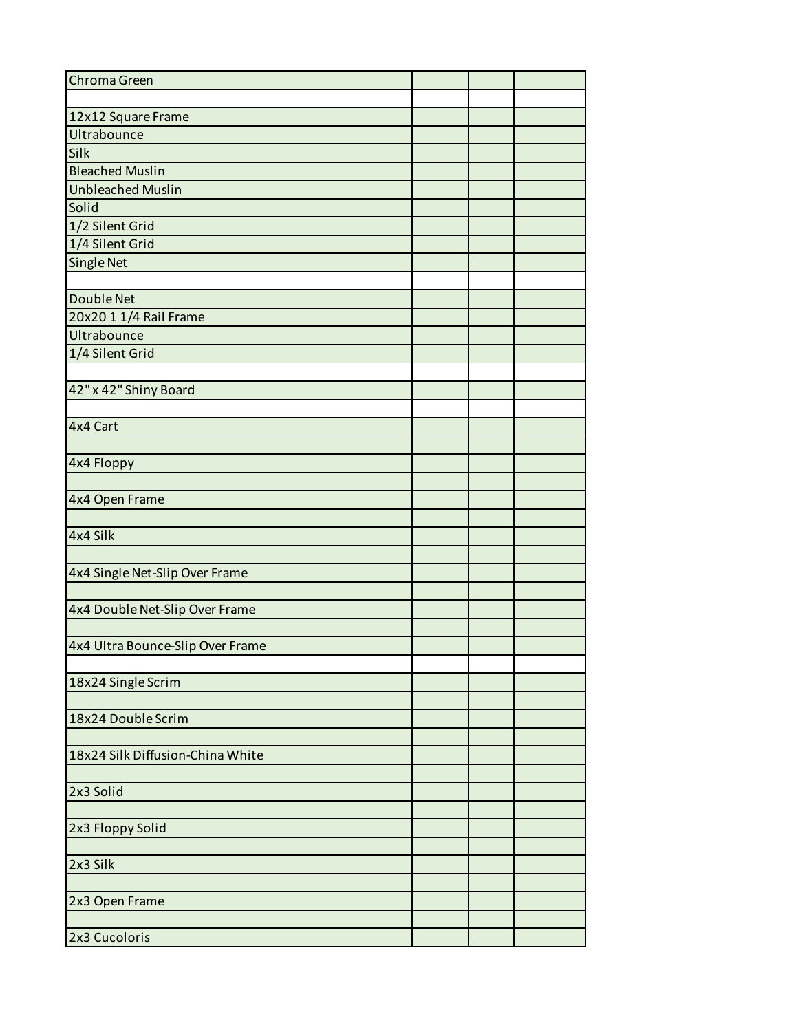| Chroma Green                     |  |  |
|----------------------------------|--|--|
|                                  |  |  |
| 12x12 Square Frame               |  |  |
| Ultrabounce                      |  |  |
| Silk                             |  |  |
| <b>Bleached Muslin</b>           |  |  |
| <b>Unbleached Muslin</b>         |  |  |
| Solid                            |  |  |
| 1/2 Silent Grid                  |  |  |
| 1/4 Silent Grid                  |  |  |
| <b>Single Net</b>                |  |  |
|                                  |  |  |
| <b>Double Net</b>                |  |  |
| 20x20 1 1/4 Rail Frame           |  |  |
| Ultrabounce                      |  |  |
| 1/4 Silent Grid                  |  |  |
|                                  |  |  |
| 42" x 42" Shiny Board            |  |  |
|                                  |  |  |
| 4x4 Cart                         |  |  |
|                                  |  |  |
|                                  |  |  |
| 4x4 Floppy                       |  |  |
|                                  |  |  |
| 4x4 Open Frame                   |  |  |
|                                  |  |  |
| 4x4 Silk                         |  |  |
|                                  |  |  |
| 4x4 Single Net-Slip Over Frame   |  |  |
|                                  |  |  |
| 4x4 Double Net-Slip Over Frame   |  |  |
|                                  |  |  |
| 4x4 Ultra Bounce-Slip Over Frame |  |  |
|                                  |  |  |
| 18x24 Single Scrim               |  |  |
|                                  |  |  |
| 18x24 Double Scrim               |  |  |
|                                  |  |  |
| 18x24 Silk Diffusion-China White |  |  |
|                                  |  |  |
| 2x3 Solid                        |  |  |
|                                  |  |  |
| 2x3 Floppy Solid                 |  |  |
|                                  |  |  |
| 2x3 Silk                         |  |  |
|                                  |  |  |
| 2x3 Open Frame                   |  |  |
|                                  |  |  |
|                                  |  |  |
| 2x3 Cucoloris                    |  |  |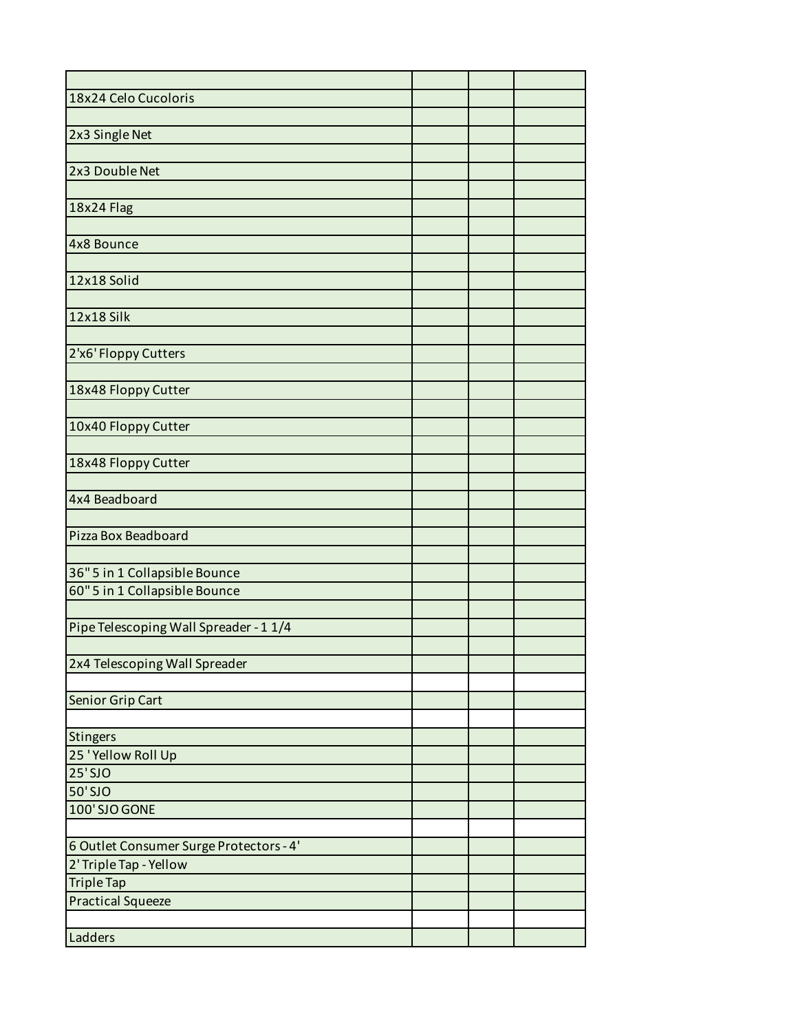| 18x24 Celo Cucoloris                    |  |  |
|-----------------------------------------|--|--|
|                                         |  |  |
| 2x3 Single Net                          |  |  |
|                                         |  |  |
| 2x3 Double Net                          |  |  |
|                                         |  |  |
| 18x24 Flag                              |  |  |
|                                         |  |  |
| 4x8 Bounce                              |  |  |
|                                         |  |  |
| 12x18 Solid                             |  |  |
|                                         |  |  |
| 12x18 Silk                              |  |  |
|                                         |  |  |
| 2'x6' Floppy Cutters                    |  |  |
|                                         |  |  |
| 18x48 Floppy Cutter                     |  |  |
|                                         |  |  |
| 10x40 Floppy Cutter                     |  |  |
|                                         |  |  |
| 18x48 Floppy Cutter                     |  |  |
|                                         |  |  |
| 4x4 Beadboard                           |  |  |
|                                         |  |  |
| Pizza Box Beadboard                     |  |  |
|                                         |  |  |
| 36" 5 in 1 Collapsible Bounce           |  |  |
| 60" 5 in 1 Collapsible Bounce           |  |  |
|                                         |  |  |
| Pipe Telescoping Wall Spreader - 1 1/4  |  |  |
|                                         |  |  |
| 2x4 Telescoping Wall Spreader           |  |  |
|                                         |  |  |
| Senior Grip Cart                        |  |  |
|                                         |  |  |
| Stingers                                |  |  |
| 25 'Yellow Roll Up                      |  |  |
| $25'$ SJO                               |  |  |
| 50'SJO                                  |  |  |
| 100'SJO GONE                            |  |  |
|                                         |  |  |
| 6 Outlet Consumer Surge Protectors - 4' |  |  |
| 2' Triple Tap - Yellow                  |  |  |
| <b>Triple Tap</b>                       |  |  |
| <b>Practical Squeeze</b>                |  |  |
|                                         |  |  |
| Ladders                                 |  |  |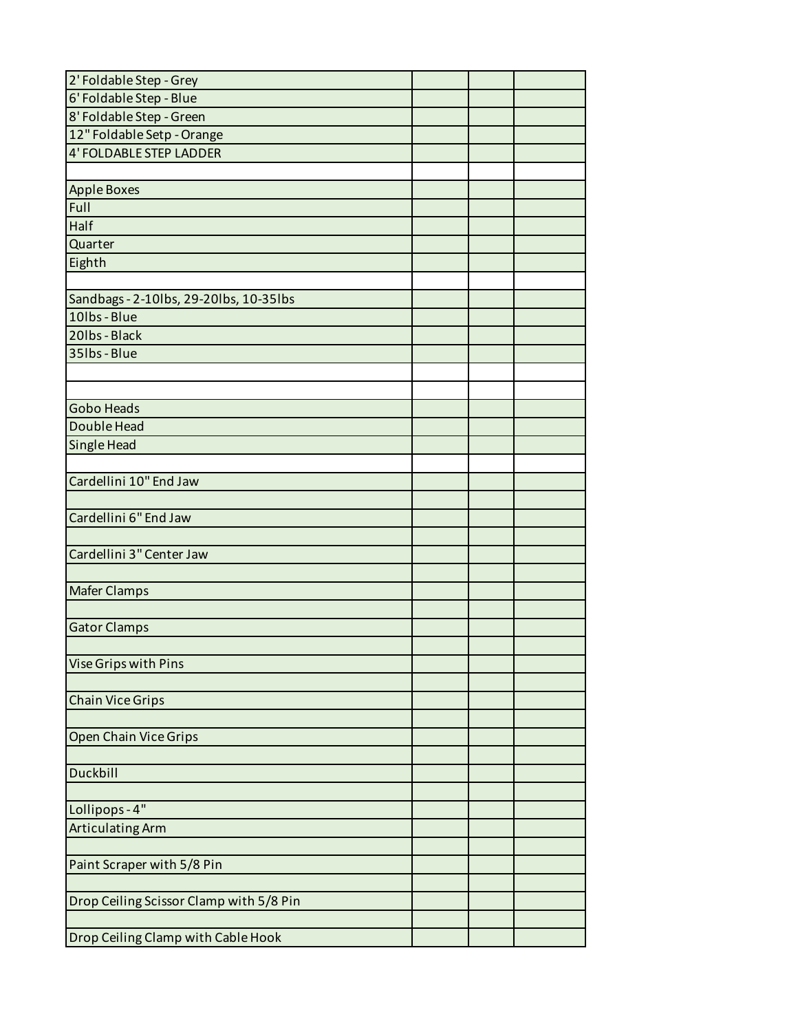| 2' Foldable Step - Grey                 |  |  |
|-----------------------------------------|--|--|
| 6' Foldable Step - Blue                 |  |  |
| 8' Foldable Step - Green                |  |  |
| 12" Foldable Setp - Orange              |  |  |
| <b>4' FOLDABLE STEP LADDER</b>          |  |  |
|                                         |  |  |
| <b>Apple Boxes</b>                      |  |  |
| Full                                    |  |  |
| Half                                    |  |  |
| Quarter                                 |  |  |
| Eighth                                  |  |  |
|                                         |  |  |
| Sandbags - 2-10lbs, 29-20lbs, 10-35lbs  |  |  |
| 10lbs - Blue                            |  |  |
| 20lbs - Black                           |  |  |
| 35lbs - Blue                            |  |  |
|                                         |  |  |
|                                         |  |  |
| <b>Gobo Heads</b>                       |  |  |
| Double Head                             |  |  |
| Single Head                             |  |  |
|                                         |  |  |
| Cardellini 10" End Jaw                  |  |  |
|                                         |  |  |
| Cardellini 6" End Jaw                   |  |  |
|                                         |  |  |
| Cardellini 3" Center Jaw                |  |  |
|                                         |  |  |
| <b>Mafer Clamps</b>                     |  |  |
|                                         |  |  |
| <b>Gator Clamps</b>                     |  |  |
|                                         |  |  |
| Vise Grips with Pins                    |  |  |
|                                         |  |  |
| <b>Chain Vice Grips</b>                 |  |  |
|                                         |  |  |
| <b>Open Chain Vice Grips</b>            |  |  |
| Duckbill                                |  |  |
|                                         |  |  |
|                                         |  |  |
| Lollipops - 4"                          |  |  |
| <b>Articulating Arm</b>                 |  |  |
| Paint Scraper with 5/8 Pin              |  |  |
|                                         |  |  |
| Drop Ceiling Scissor Clamp with 5/8 Pin |  |  |
|                                         |  |  |
|                                         |  |  |
| Drop Ceiling Clamp with Cable Hook      |  |  |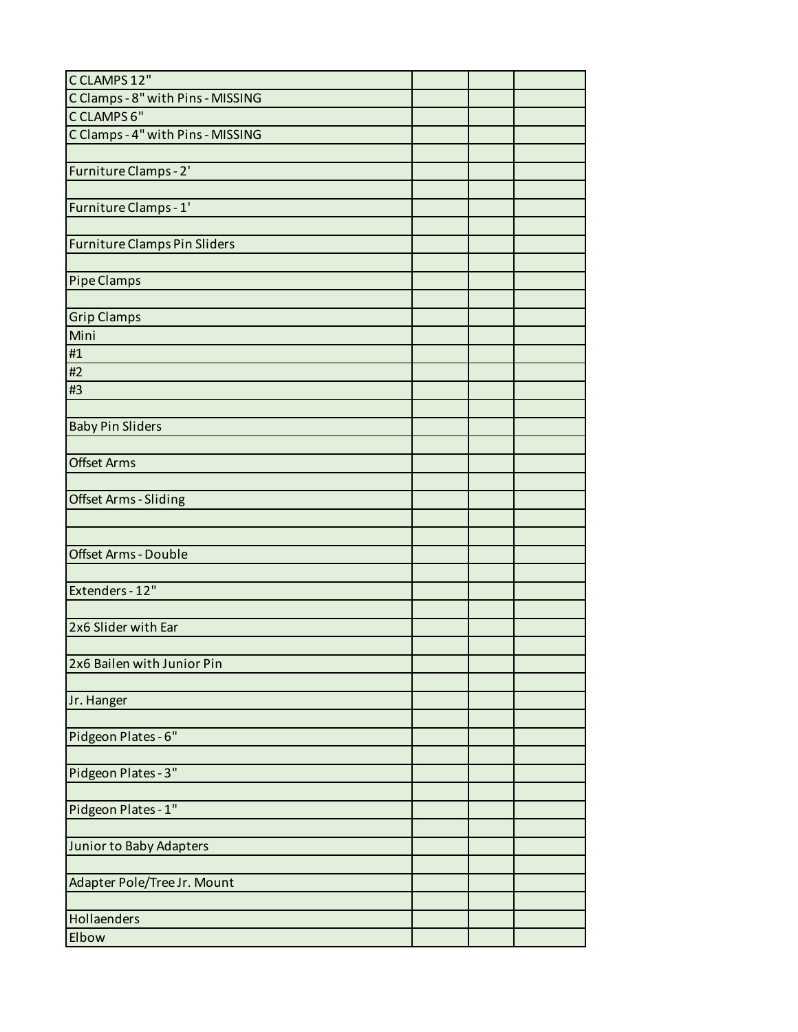| CCLAMPS 12"                         |  |  |
|-------------------------------------|--|--|
| C Clamps - 8" with Pins - MISSING   |  |  |
| CCLAMPS 6"                          |  |  |
| C Clamps - 4" with Pins - MISSING   |  |  |
|                                     |  |  |
| Furniture Clamps - 2'               |  |  |
|                                     |  |  |
| Furniture Clamps - 1'               |  |  |
|                                     |  |  |
| <b>Furniture Clamps Pin Sliders</b> |  |  |
|                                     |  |  |
| Pipe Clamps                         |  |  |
|                                     |  |  |
| <b>Grip Clamps</b>                  |  |  |
| Mini                                |  |  |
| #1                                  |  |  |
| #2                                  |  |  |
| #3                                  |  |  |
|                                     |  |  |
|                                     |  |  |
| <b>Baby Pin Sliders</b>             |  |  |
|                                     |  |  |
| <b>Offset Arms</b>                  |  |  |
|                                     |  |  |
| <b>Offset Arms - Sliding</b>        |  |  |
|                                     |  |  |
|                                     |  |  |
| <b>Offset Arms - Double</b>         |  |  |
|                                     |  |  |
| Extenders - 12"                     |  |  |
|                                     |  |  |
| 2x6 Slider with Ear                 |  |  |
|                                     |  |  |
| 2x6 Bailen with Junior Pin          |  |  |
|                                     |  |  |
| Jr. Hanger                          |  |  |
|                                     |  |  |
| Pidgeon Plates - 6"                 |  |  |
|                                     |  |  |
| Pidgeon Plates - 3"                 |  |  |
|                                     |  |  |
| Pidgeon Plates - 1"                 |  |  |
|                                     |  |  |
| Junior to Baby Adapters             |  |  |
|                                     |  |  |
| Adapter Pole/Tree Jr. Mount         |  |  |
|                                     |  |  |
| Hollaenders                         |  |  |
| Elbow                               |  |  |
|                                     |  |  |